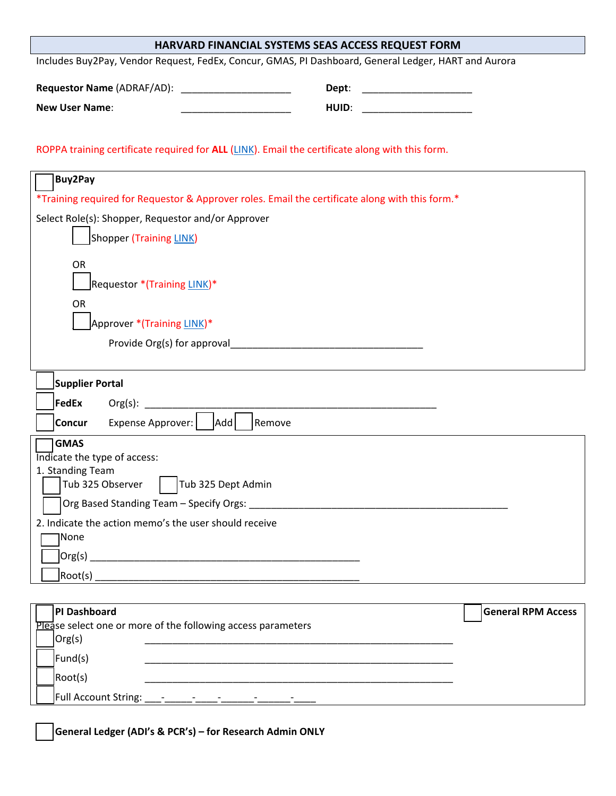| HARVARD FINANCIAL SYSTEMS SEAS ACCESS REQUEST FORM                                                   |       |                           |
|------------------------------------------------------------------------------------------------------|-------|---------------------------|
| Includes Buy2Pay, Vendor Request, FedEx, Concur, GMAS, PI Dashboard, General Ledger, HART and Aurora |       |                           |
| Requestor Name (ADRAF/AD): ______________________                                                    | Dept: |                           |
| <b>New User Name:</b>                                                                                | HUID: |                           |
|                                                                                                      |       |                           |
| ROPPA training certificate required for ALL (LINK). Email the certificate along with this form.      |       |                           |
| <b>Buy2Pay</b>                                                                                       |       |                           |
| *Training required for Requestor & Approver roles. Email the certificate along with this form.*      |       |                           |
| Select Role(s): Shopper, Requestor and/or Approver                                                   |       |                           |
| Shopper (Training LINK)                                                                              |       |                           |
| <b>OR</b>                                                                                            |       |                           |
| Requestor *(Training LINK)*                                                                          |       |                           |
| <b>OR</b>                                                                                            |       |                           |
| Approver *(Training LINK)*                                                                           |       |                           |
|                                                                                                      |       |                           |
|                                                                                                      |       |                           |
| <b>Supplier Portal</b>                                                                               |       |                           |
| <b>FedEx</b>                                                                                         |       |                           |
| Expense Approver:       Add<br>Remove<br><b>Concur</b>                                               |       |                           |
| <b>GMAS</b>                                                                                          |       |                           |
| Indicate the type of access:<br>1. Standing Team                                                     |       |                           |
| Tub 325 Observer $\begin{bmatrix} 1 \end{bmatrix}$ Tub 325 Dept Admin                                |       |                           |
|                                                                                                      |       |                           |
| 2. Indicate the action memo's the user should receive                                                |       |                           |
| <b>None</b>                                                                                          |       |                           |
|                                                                                                      |       |                           |
|                                                                                                      |       |                           |
| <b>PI Dashboard</b>                                                                                  |       | <b>General RPM Access</b> |
| Please select one or more of the following access parameters                                         |       |                           |
| Org(s)                                                                                               |       |                           |
| Fund(s)                                                                                              |       |                           |

\_\_\_ Full Account String: \_\_\_-\_\_\_\_\_-\_\_\_\_-\_\_\_\_\_\_-\_\_\_\_\_\_-\_\_\_\_

\_\_\_ **General Ledger (ADI's & PCR's) – for Research Admin ONLY**

\_\_\_ Root(s) \_\_\_\_\_\_\_\_\_\_\_\_\_\_\_\_\_\_\_\_\_\_\_\_\_\_\_\_\_\_\_\_\_\_\_\_\_\_\_\_\_\_\_\_\_\_\_\_\_\_\_\_\_\_\_\_